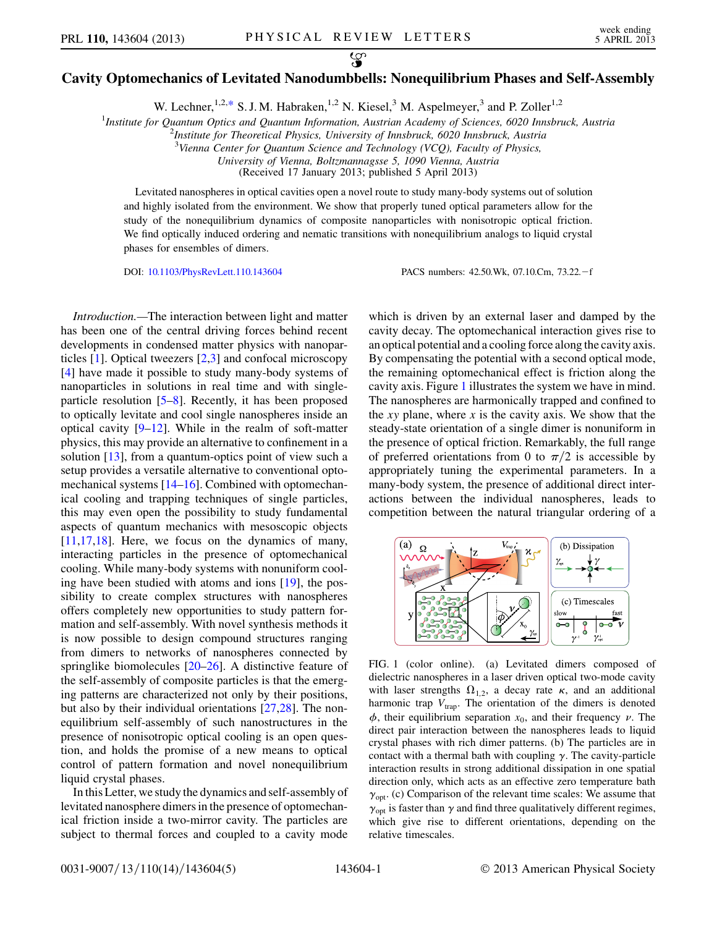## <span id="page-0-2"></span>လ္စာ Cavity Optomechanics of Levitated Nanodumbbells: Nonequilibrium Phases and Self-Assembly

W. Lechner,  $1,2,*$  $1,2,*$  S. J. M. Habraken,  $1,2$  N. Kiesel,  $3$  M. Aspelmeyer,  $3$  and P. Zoller $1,2$ 

<sup>1</sup>Institute for Quantum Optics and Quantum Information, Austrian Academy of Sciences, 6020 Innsbruck, Austria<sup>2</sup><br><sup>2</sup>Institute for Theoratical Physics, University of Innsbruck, 6020 Innsbruck, Austria

 $^{2}$ Institute for Theoretical Physics, University of Innsbruck, 6020 Innsbruck, Austria

 $3$ Vienna Center for Quantum Science and Technology (VCQ), Faculty of Physics,

University of Vienna, Boltzmannagsse 5, 1090 Vienna, Austria

(Received 17 January 2013; published 5 April 2013)

Levitated nanospheres in optical cavities open a novel route to study many-body systems out of solution and highly isolated from the environment. We show that properly tuned optical parameters allow for the study of the nonequilibrium dynamics of composite nanoparticles with nonisotropic optical friction. We find optically induced ordering and nematic transitions with nonequilibrium analogs to liquid crystal phases for ensembles of dimers.

Introduction.—The interaction between light and matter has been one of the central driving forces behind recent developments in condensed matter physics with nanoparticles  $[1]$  $[1]$ . Optical tweezers  $[2,3]$  $[2,3]$  $[2,3]$  and confocal microscopy [\[4\]](#page-4-4) have made it possible to study many-body systems of nanoparticles in solutions in real time and with singleparticle resolution [\[5](#page-4-5)–[8\]](#page-4-6). Recently, it has been proposed to optically levitate and cool single nanospheres inside an optical cavity [\[9–](#page-4-7)[12](#page-4-8)]. While in the realm of soft-matter physics, this may provide an alternative to confinement in a solution [\[13\]](#page-4-9), from a quantum-optics point of view such a setup provides a versatile alternative to conventional optomechanical systems [[14](#page-4-10)–[16](#page-4-11)]. Combined with optomechanical cooling and trapping techniques of single particles, this may even open the possibility to study fundamental aspects of quantum mechanics with mesoscopic objects  $[11,17,18]$  $[11,17,18]$  $[11,17,18]$  $[11,17,18]$ . Here, we focus on the dynamics of many, interacting particles in the presence of optomechanical cooling. While many-body systems with nonuniform cooling have been studied with atoms and ions [[19](#page-4-15)], the possibility to create complex structures with nanospheres offers completely new opportunities to study pattern formation and self-assembly. With novel synthesis methods it is now possible to design compound structures ranging from dimers to networks of nanospheres connected by springlike biomolecules [[20](#page-4-16)–[26\]](#page-4-17). A distinctive feature of the self-assembly of composite particles is that the emerging patterns are characterized not only by their positions, but also by their individual orientations [[27](#page-4-18),[28](#page-4-19)]. The nonequilibrium self-assembly of such nanostructures in the presence of nonisotropic optical cooling is an open question, and holds the promise of a new means to optical control of pattern formation and novel nonequilibrium liquid crystal phases.

In this Letter, we study the dynamics and self-assembly of levitated nanosphere dimers in the presence of optomechanical friction inside a two-mirror cavity. The particles are subject to thermal forces and coupled to a cavity mode

DOI: [10.1103/PhysRevLett.110.143604](http://dx.doi.org/10.1103/PhysRevLett.110.143604) PACS numbers: 42.50.Wk, 07.10.Cm, 73.22.<sup>f</sup>

which is driven by an external laser and damped by the cavity decay. The optomechanical interaction gives rise to an optical potential and a cooling force along the cavity axis. By compensating the potential with a second optical mode, the remaining optomechanical effect is friction along the cavity axis. Figure [1](#page-0-0) illustrates the system we have in mind. The nanospheres are harmonically trapped and confined to the xy plane, where x is the cavity axis. We show that the steady-state orientation of a single dimer is nonuniform in the presence of optical friction. Remarkably, the full range of preferred orientations from 0 to  $\pi/2$  is accessible by appropriately tuning the experimental parameters. In a many-body system, the presence of additional direct interactions between the individual nanospheres, leads to competition between the natural triangular ordering of a

<span id="page-0-0"></span>

<span id="page-0-1"></span>FIG. 1 (color online). (a) Levitated dimers composed of dielectric nanospheres in a laser driven optical two-mode cavity with laser strengths  $\Omega_{1,2}$ , a decay rate  $\kappa$ , and an additional harmonic trap  $V_{\text{trap}}$ . The orientation of the dimers is denoted  $\phi$ , their equilibrium separation  $x_0$ , and their frequency  $\nu$ . The direct pair interaction between the nanospheres leads to liquid crystal phases with rich dimer patterns. (b) The particles are in contact with a thermal bath with coupling  $\gamma$ . The cavity-particle interaction results in strong additional dissipation in one spatial direction only, which acts as an effective zero temperature bath  $\gamma_{\text{opt}}$ . (c) Comparison of the relevant time scales: We assume that  $\gamma_{opt}$  is faster than  $\gamma$  and find three qualitatively different regimes, which give rise to different orientations, depending on the relative timescales.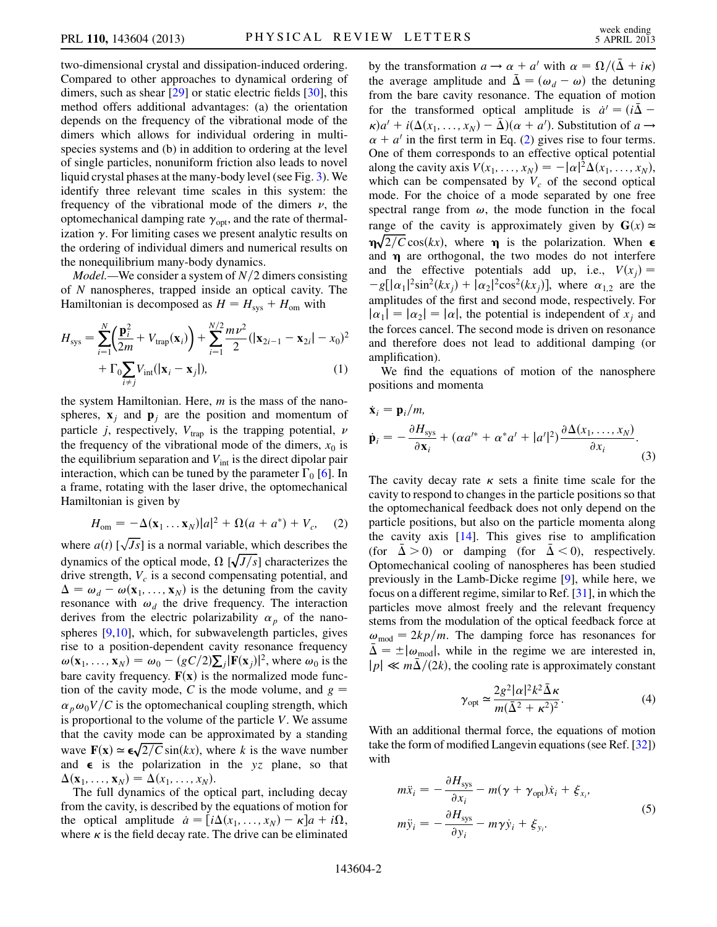two-dimensional crystal and dissipation-induced ordering. Compared to other approaches to dynamical ordering of dimers, such as shear [\[29\]](#page-4-20) or static electric fields [[30](#page-4-21)], this method offers additional advantages: (a) the orientation depends on the frequency of the vibrational mode of the dimers which allows for individual ordering in multispecies systems and (b) in addition to ordering at the level of single particles, nonuniform friction also leads to novel liquid crystal phases at the many-body level (see Fig. [3](#page-3-0)). We identify three relevant time scales in this system: the frequency of the vibrational mode of the dimers  $\nu$ , the optomechanical damping rate  $\gamma_{\text{opt}}$ , and the rate of thermalization  $\gamma$ . For limiting cases we present analytic results on the ordering of individual dimers and numerical results on the nonequilibrium many-body dynamics.

*Model*.—We consider a system of  $N/2$  dimers consisting of N nanospheres, trapped inside an optical cavity. The Hamiltonian is decomposed as  $H = H_{sys} + H_{om}$  with

$$
H_{\text{sys}} = \sum_{i=1}^{N} \left( \frac{\mathbf{p}_i^2}{2m} + V_{\text{trap}}(\mathbf{x}_i) \right) + \sum_{i=1}^{N/2} \frac{m\nu^2}{2} (|\mathbf{x}_{2i-1} - \mathbf{x}_{2i}| - x_0)^2 + \Gamma_0 \sum_{i \neq j} V_{\text{int}} (|\mathbf{x}_i - \mathbf{x}_j|),
$$
 (1)

the system Hamiltonian. Here,  $m$  is the mass of the nanospheres,  $\mathbf{x}_i$  and  $\mathbf{p}_i$  are the position and momentum of particle j, respectively,  $V_{trap}$  is the trapping potential,  $\nu$ the frequency of the vibrational mode of the dimers,  $x_0$  is the equilibrium separation and  $V_{int}$  is the direct dipolar pair interaction, which can be tuned by the parameter  $\Gamma_0$  [[6\]](#page-4-22). In a frame, rotating with the laser drive, the optomechanical Hamiltonian is given by

<span id="page-1-0"></span>
$$
H_{\text{om}} = -\Delta(\mathbf{x}_1 \dots \mathbf{x}_N)|a|^2 + \Omega(a + a^*) + V_c, \quad (2)
$$

where  $a(t)$  [ $\sqrt{Js}$ ] is a normal variable, which describes the dynamics of the optical mode. O [ $\sqrt{Js}$ ] characterizes the dynamics of the optical mode,  $\Omega \left[ \sqrt{J/s} \right]$  characterizes the drive strength,  $V_c$  is a second compensating potential, and  $\Delta = \omega_d - \omega(\mathbf{x}_1, \dots, \mathbf{x}_N)$  is the detuning from the cavity resonance with  $\omega_d$  the drive frequency. The interaction derives from the electric polarizability  $\alpha_p$  of the nanospheres [[9](#page-4-7)[,10\]](#page-4-23), which, for subwavelength particles, gives rise to a position-dependent cavity resonance frequency  $\omega(\mathbf{x}_1, ..., \mathbf{x}_N) = \omega_0 - (gC/2)\sum_j |\mathbf{F}(\mathbf{x}_j)|^2$ , where  $\omega_0$  is the horn cavity frequency.  $\mathbf{F}(\mathbf{x})$  is the normalized mode function bare cavity frequency.  $F(x)$  is the normalized mode function of the cavity mode, C is the mode volume, and  $g =$  $\alpha_p \omega_0 V/C$  is the optomechanical coupling strength, which is proportional to the volume of the particle  $V$ . We assume that the cavity mode can be approximated by a standing wave  $\mathbf{F}(\mathbf{x}) \simeq \epsilon \sqrt{2/C} \sin(kx)$ , where k is the wave number<br>and  $\epsilon$  is the polarization in the yz plane so that and  $\epsilon$  is the polarization in the yz plane, so that  $\Delta(\mathbf{x}_1, \ldots, \mathbf{x}_N) = \Delta(x_1, \ldots, x_N).$ 

The full dynamics of the optical part, including decay from the cavity, is described by the equations of motion for the optical amplitude  $\dot{a} = [i\Delta(x_1, \ldots, x_N) - \kappa]a + i\Omega$ ,<br>where  $\kappa$  is the field decay rate. The drive can be eliminated where  $\kappa$  is the field decay rate. The drive can be eliminated by the transformation  $a \rightarrow \alpha + a'$  with  $\alpha = \Omega/(\bar{\Delta} + i\kappa)$ the average amplitude and  $\bar{\Delta} = (\omega_d - \omega)$  the detuning<br>from the bare cavity resonance. The equation of motion from the bare cavity resonance. The equation of motion for the transformed optical amplitude is  $\dot{a}^i = (i\bar{\Delta} - \kappa)a^i + i(\Lambda(\kappa - \kappa) - \bar{\Lambda})(\alpha + a^i)$ . Substitution of  $a \rightarrow a^i$  $\kappa$ ) $a' + i(\Delta(x_1, ..., x_N) - \bar{\Delta})(\alpha + a')$ . Substitution of  $a \rightarrow \alpha + a'$  in the first term in Eq. (2) gives rise to four terms  $\alpha + a'$  in the first term in Eq. ([2\)](#page-1-0) gives rise to four terms. One of them corresponds to an effective optical potential along the cavity axis  $V(x_1, ..., x_N) = -|\alpha|^2 \Delta(x_1, ..., x_N)$ ,<br>which can be compensated by V of the second optical which can be compensated by  $V_c$  of the second optical mode. For the choice of a mode separated by one free spectral range from  $\omega$ , the mode function in the focal range of the cavity is approximately given by  $G(x) \approx$  $\eta \sqrt{2/C} \cos(kx)$ , where  $\eta$  is the polarization. When  $\epsilon$  and  $\eta$  are orthogonal the two modes do not interfere and  $\eta$  are orthogonal, the two modes do not interfere and the effective potentials add up, i.e.,  $V(x_i) =$  $-g[|\alpha_1|^2 \sin^2(kx_j) + |\alpha_2|^2 \cos^2(kx_j)]$ , where  $\alpha_{1,2}$  are the amplitudes of the first and second mode respectively. For amplitudes of the first and second mode, respectively. For  $|\alpha_1| = |\alpha_2| = |\alpha|$ , the potential is independent of  $x_i$  and the forces cancel. The second mode is driven on resonance and therefore does not lead to additional damping (or amplification).

We find the equations of motion of the nanosphere positions and momenta

$$
\dot{\mathbf{x}}_i = \mathbf{p}_i/m,
$$
\n
$$
\dot{\mathbf{p}}_i = -\frac{\partial H_{\text{sys}}}{\partial \mathbf{x}_i} + (\alpha a^{j*} + \alpha^* a^j + |a^j|^2) \frac{\partial \Delta(x_1, \dots, x_N)}{\partial x_i}.
$$
\n(3)

The cavity decay rate  $\kappa$  sets a finite time scale for the cavity to respond to changes in the particle positions so that the optomechanical feedback does not only depend on the particle positions, but also on the particle momenta along the cavity axis  $[14]$  $[14]$  $[14]$ . This gives rise to amplification (for  $\Delta > 0$ ) or damping (for  $\overline{\Delta} < 0$ ), respectively. Optomechanical cooling of nanospheres has been studied previously in the Lamb-Dicke regime [\[9\]](#page-4-7), while here, we focus on a different regime, similar to Ref. [\[31](#page-4-24)], in which the particles move almost freely and the relevant frequency stems from the modulation of the optical feedback force at  $\omega_{\text{mod}} = 2kp/m$ . The damping force has resonances for  $\Delta = \pm |\omega_{\text{mod}}|$ , while in the regime we are interested in,  $|p| \ll m\overline{\Delta}/(2k)$ , the cooling rate is approximately constant

$$
\gamma_{\rm opt} \simeq \frac{2g^2|\alpha|^2 k^2 \bar{\Delta} \kappa}{m(\bar{\Delta}^2 + \kappa^2)^2}.
$$
 (4)

<span id="page-1-1"></span>With an additional thermal force, the equations of motion take the form of modified Langevin equations (see Ref. [\[32](#page-4-25)]) with

$$
m\ddot{x}_i = -\frac{\partial H_{\text{sys}}}{\partial x_i} - m(\gamma + \gamma_{\text{opt}})\dot{x}_i + \xi_{x_i},
$$
  

$$
m\ddot{y}_i = -\frac{\partial H_{\text{sys}}}{\partial y_i} - m\gamma\dot{y}_i + \xi_{y_i}.
$$
 (5)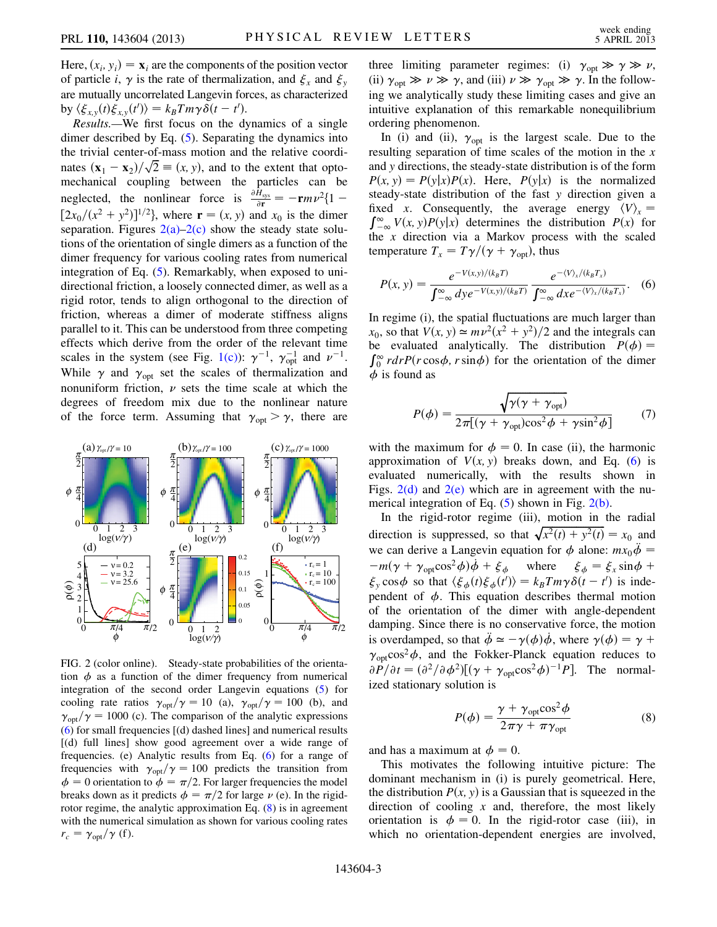Here,  $(x_i, y_i) = \mathbf{x}_i$  are the components of the position vector of particle i,  $\gamma$  is the rate of thermalization, and  $\xi_x$  and  $\xi_y$ are mutually uncorrelated Langevin forces, as characterized by  $\langle \xi_{x,y}(t) \xi_{x,y}(t') \rangle = k_B T m \gamma \delta(t - t').$ <br>**Results** We first focus on the dy

Results.—We first focus on the dynamics of a single dimer described by Eq. [\(5](#page-1-1)). Separating the dynamics into the trivial center-of-mass motion and the relative coordinates  $(\mathbf{x}_1 - \mathbf{x}_2)/\sqrt{2} \equiv (x, y)$ , and to the extent that opto-<br>mechanical coupling between the particles can be mechanical coupling between the particles can be neglected, the nonlinear force is  $\frac{\partial H_{sys}}{\partial r} = -\mathbf{r}mv^2\{1 [2x_0/(x^2 + y^2)]^{1/2}$ , where  $\mathbf{r} = (x, y)$  and  $x_0$  is the dimer<br>separation. Figures  $2(a)-2(c)$  show the steady state soluseparation. Figures  $2(a)-2(c)$  show the steady state solutions of the orientation of single dimers as a function of the dimer frequency for various cooling rates from numerical integration of Eq. ([5](#page-1-1)). Remarkably, when exposed to unidirectional friction, a loosely connected dimer, as well as a rigid rotor, tends to align orthogonal to the direction of friction, whereas a dimer of moderate stiffness aligns parallel to it. This can be understood from three competing effects which derive from the order of the relevant time scales in the system (see Fig. [1\(c\)](#page-0-1)):  $\gamma^{-1}$ ,  $\gamma_{opt}^{-1}$  and  $\nu^{-1}$ . While  $\gamma$  and  $\gamma_{\text{opt}}$  set the scales of thermalization and nonuniform friction,  $\nu$  sets the time scale at which the degrees of freedom mix due to the nonlinear nature of the force term. Assuming that  $\gamma_{\text{opt}} > \gamma$ , there are



<span id="page-2-0"></span>FIG. 2 (color online). Steady-state probabilities of the orientation  $\phi$  as a function of the dimer frequency from numerical integration of the second order Langevin equations ([5](#page-1-1)) for cooling rate ratios  $\gamma_{\text{opt}}/\gamma = 10$  (a),  $\gamma_{\text{opt}}/\gamma = 100$  (b), and  $\gamma_{\text{opt}}/\gamma = 1000$  (c). The comparison of the analytic expressions [\(6\)](#page-2-1) for small frequencies [(d) dashed lines] and numerical results [(d) full lines] show good agreement over a wide range of frequencies. (e) Analytic results from Eq. [\(6\)](#page-2-1) for a range of frequencies with  $\gamma_{\text{opt}}/\gamma = 100$  predicts the transition from  $\phi = 0$  orientation to  $\phi = \pi/2$ . For larger frequencies the model breaks down as it predicts  $\phi = \pi/2$  for large  $\nu$  (e). In the rigidrotor regime, the analytic approximation Eq. ([8\)](#page-2-2) is in agreement with the numerical simulation as shown for various cooling rates  $r_c = \gamma_{\text{opt}}/\gamma$  (f).

three limiting parameter regimes: (i)  $\gamma_{\text{opt}} \gg \gamma \gg \nu$ , (ii)  $\gamma_{\text{opt}} \gg \nu \gg \gamma$ , and (iii)  $\nu \gg \gamma_{\text{opt}} \gg \gamma$ . In the following we analytically study these limiting cases and give an intuitive explanation of this remarkable nonequilibrium ordering phenomenon.

In (i) and (ii),  $\gamma_{opt}$  is the largest scale. Due to the resulting separation of time scales of the motion in the  $x$ and y directions, the steady-state distribution is of the form  $P(x, y) = P(y|x)P(x)$ . Here,  $P(y|x)$  is the normalized steady-state distribution of the fast y direction given a fixed x. Consequently, the average energy  $\langle V \rangle_x = \int_{-\infty}^{\infty} V(x, y)P(y|x)$  determines the distribution  $P(x)$  for the x direction via a Markov process with the scaled the  $x$  direction via a Markov process with the scaled temperature  $T_x = T\gamma/(\gamma + \gamma_{\text{opt}})$ , thus

<span id="page-2-1"></span>
$$
P(x, y) = \frac{e^{-V(x, y)/(k_B T)}}{\int_{-\infty}^{\infty} dy e^{-V(x, y)/(k_B T)}} \frac{e^{-\langle V \rangle_{x}/(k_B T_x)}}{\int_{-\infty}^{\infty} dx e^{-\langle V \rangle_{x}/(k_B T_x)}}.
$$
 (6)

In regime (i), the spatial fluctuations are much larger than  $x_0$ , so that  $V(x, y) \approx mv^2(x^2 + y^2)/2$  and the integrals can be evaluated analytically. The distribution  $P(\phi) =$  $\int_0^{\infty} r dr P(r \cos \phi, r \sin \phi)$  for the orientation of the dimer  $\phi$  is found as  $\phi$  is found as

$$
P(\phi) = \frac{\sqrt{\gamma(\gamma + \gamma_{\text{opt}})}}{2\pi[(\gamma + \gamma_{\text{opt}})\cos^2\phi + \gamma\sin^2\phi]}
$$
(7)

with the maximum for  $\phi = 0$ . In case (ii), the harmonic approximation of  $V(x, y)$  breaks down, and Eq. ([6\)](#page-2-1) is evaluated numerically, with the results shown in Figs.  $2(d)$  and  $2(e)$  which are in agreement with the numerical integration of Eq.  $(5)$  $(5)$  shown in Fig.  $2(b)$ .

In the rigid-rotor regime (iii), motion in the radial direction is suppressed, so that  $\sqrt{x^2(t) + y^2(t)} = x_0$  and<br>we can derive a Langevin equation for  $\phi$  alone;  $mx, \ddot{\phi} =$ we can derive a Langevin equation for  $\phi$  alone:  $mx_0\ddot{\phi}$  =  $-m(\gamma + \gamma_{\text{opt}}\cos^2\phi)\dot{\phi} + \xi_{\phi}$  where  $\xi_{\phi} = \xi_x \sin\phi + \xi_{\phi}$  $\xi_y$  cos  $\phi$  so that  $\langle \xi_\phi(t) \xi_\phi(t') \rangle = k_B T m \gamma \delta(t - t')$  is inde-<br>pendent of  $\phi$ . This equation describes thermal motion pendent of  $\phi$ . This equation describes thermal motion of the orientation of the dimer with angle-dependent damping. Since there is no conservative force, the motion is overdamped, so that  $\ddot{\phi} \simeq -\gamma(\phi)\dot{\phi}$ , where  $\gamma(\phi) = \gamma + \phi$  $\gamma_{\text{opt}}\text{cos}^2\phi$ , and the Fokker-Planck equation reduces to  $\partial P/\partial t = (\partial^2/\partial \phi^2)[(\gamma + \gamma_{opt} \cos^2 \phi)^{-1} P].$  The normalized stationary solution is

$$
P(\phi) = \frac{\gamma + \gamma_{\text{opt}} \cos^2 \phi}{2\pi \gamma + \pi \gamma_{\text{opt}}}
$$
 (8)

<span id="page-2-2"></span>and has a maximum at  $\phi = 0$ .

This motivates the following intuitive picture: The dominant mechanism in (i) is purely geometrical. Here, the distribution  $P(x, y)$  is a Gaussian that is squeezed in the direction of cooling  $x$  and, therefore, the most likely orientation is  $\phi = 0$ . In the rigid-rotor case (iii), in which no orientation-dependent energies are involved,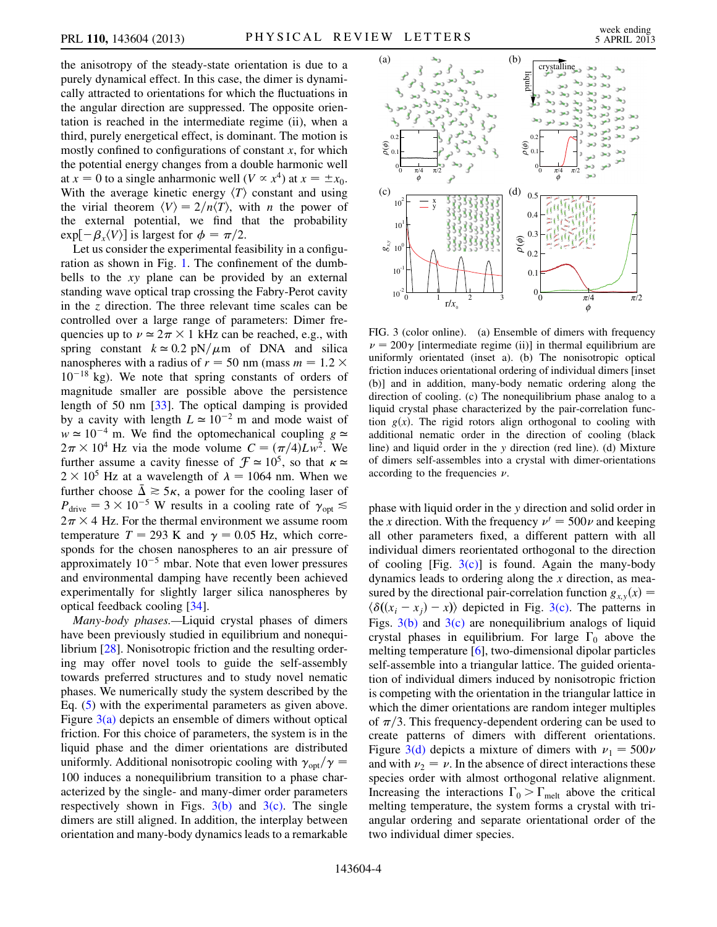the anisotropy of the steady-state orientation is due to a purely dynamical effect. In this case, the dimer is dynamically attracted to orientations for which the fluctuations in the angular direction are suppressed. The opposite orientation is reached in the intermediate regime (ii), when a third, purely energetical effect, is dominant. The motion is mostly confined to configurations of constant  $x$ , for which the potential energy changes from a double harmonic well at  $x = 0$  to a single anharmonic well  $(V \propto x^4)$  at  $x = \pm x_0$ . With the average kinetic energy  $\langle T \rangle$  constant and using the virial theorem  $\langle V \rangle = 2/n\langle T \rangle$ , with *n* the power of the external potential, we find that the probability  $\exp[-\beta_x \langle V \rangle]$  is largest for  $\phi = \pi/2$ .

Let us consider the experimental feasibility in a configuration as shown in Fig. [1.](#page-0-0) The confinement of the dumbbells to the xy plane can be provided by an external standing wave optical trap crossing the Fabry-Perot cavity in the z direction. The three relevant time scales can be controlled over a large range of parameters: Dimer frequencies up to  $v \approx 2\pi \times 1$  kHz can be reached, e.g., with spring constant  $k \approx 0.2$  pN/ $\mu$ m of DNA and silica<br>nanospheres with a radius of  $r = 50$  nm (mass  $m = 1.2 \times$ nanospheres with a radius of  $r = 50$  nm (mass  $m = 1.2 \times$  $10^{-18}$  kg). We note that spring constants of orders of magnitude smaller are possible above the persistence length of 50 nm [\[33\]](#page-4-26). The optical damping is provided by a cavity with length  $L \approx 10^{-2}$  m and mode waist of  $w \approx 10^{-4}$  m. We find the optomechanical coupling  $g \approx$  $2\pi \times 10^4$  Hz via the mode volume  $C = (\pi/4)Lw^2$ . We further assume a cavity finesse of  $\mathcal{F} \approx 10^5$ , so that  $\kappa \approx$  $2 \times 10^5$  Hz at a wavelength of  $\lambda = 1064$  nm. When we<br>further choose  $\bar{\lambda} \ge 5$  g a power for the cooling laser of further choose  $\bar{\Delta} \gtrsim 5\kappa$ , a power for the cooling laser of  $P_{\text{drive}} = 3 \times 10^{-5}$  W results in a cooling rate of  $\gamma_{\text{opt}} \lesssim$  $2\pi \times 4$  Hz. For the thermal environment we assume room temperature  $T = 293$  K and  $\gamma = 0.05$  Hz, which corresponds for the chosen nanospheres to an air pressure of approximately  $10^{-5}$  mbar. Note that even lower pressures and environmental damping have recently been achieved experimentally for slightly larger silica nanospheres by optical feedback cooling [[34\]](#page-4-27).

Many-body phases.—Liquid crystal phases of dimers have been previously studied in equilibrium and nonequilibrium [[28](#page-4-19)]. Nonisotropic friction and the resulting ordering may offer novel tools to guide the self-assembly towards preferred structures and to study novel nematic phases. We numerically study the system described by the Eq. [\(5](#page-1-1)) with the experimental parameters as given above. Figure [3\(a\)](#page-3-1) depicts an ensemble of dimers without optical friction. For this choice of parameters, the system is in the liquid phase and the dimer orientations are distributed uniformly. Additional nonisotropic cooling with  $\gamma_{opt}/\gamma$  = 100 induces a nonequilibrium transition to a phase characterized by the single- and many-dimer order parameters respectively shown in Figs.  $3(b)$  and  $3(c)$ . The single dimers are still aligned. In addition, the interplay between orientation and many-body dynamics leads to a remarkable

<span id="page-3-0"></span>

<span id="page-3-1"></span>FIG. 3 (color online). (a) Ensemble of dimers with frequency  $\nu = 200\gamma$  [intermediate regime (ii)] in thermal equilibrium are uniformly orientated (inset a). (b) The nonisotropic optical friction induces orientational ordering of individual dimers [inset (b)] and in addition, many-body nematic ordering along the direction of cooling. (c) The nonequilibrium phase analog to a liquid crystal phase characterized by the pair-correlation function  $g(x)$ . The rigid rotors align orthogonal to cooling with additional nematic order in the direction of cooling (black line) and liquid order in the y direction (red line). (d) Mixture of dimers self-assembles into a crystal with dimer-orientations according to the frequencies  $\nu$ .

phase with liquid order in the y direction and solid order in the x direction. With the frequency  $\nu' = 500\nu$  and keeping all other parameters fixed, a different pattern with all individual dimers reorientated orthogonal to the direction of cooling [Fig.  $3(c)$ ] is found. Again the many-body dynamics leads to ordering along the  $x$  direction, as measured by the directional pair-correlation function  $g_{x,y}(x) =$  $\langle \delta((x_i - x_j) - x) \rangle$  depicted in Fig. [3\(c\)](#page-3-1). The patterns in Figs.  $3(b)$  and  $3(c)$  are nonequilibrium analogs of liquid crystal phases in equilibrium. For large  $\Gamma_0$  above the melting temperature [[6\]](#page-4-22), two-dimensional dipolar particles self-assemble into a triangular lattice. The guided orientation of individual dimers induced by nonisotropic friction is competing with the orientation in the triangular lattice in which the dimer orientations are random integer multiples of  $\pi/3$ . This frequency-dependent ordering can be used to create patterns of dimers with different orientations. Figure [3\(d\)](#page-3-1) depicts a mixture of dimers with  $\nu_1 = 500\nu$ and with  $\nu_2 = \nu$ . In the absence of direct interactions these species order with almost orthogonal relative alignment. Increasing the interactions  $\Gamma_0 > \Gamma_{\text{melt}}$  above the critical melting temperature, the system forms a crystal with triangular ordering and separate orientational order of the two individual dimer species.